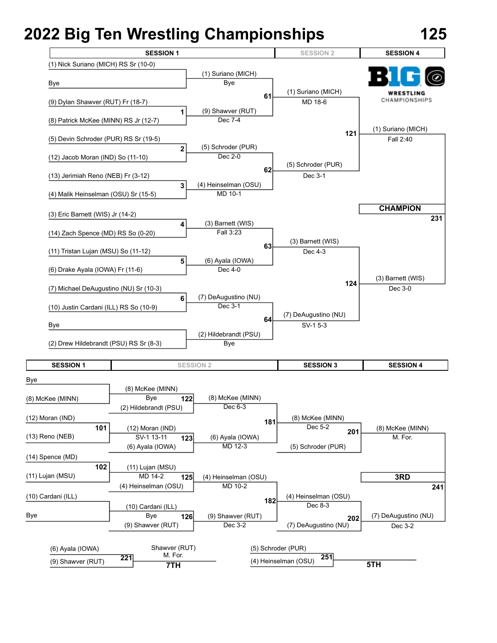

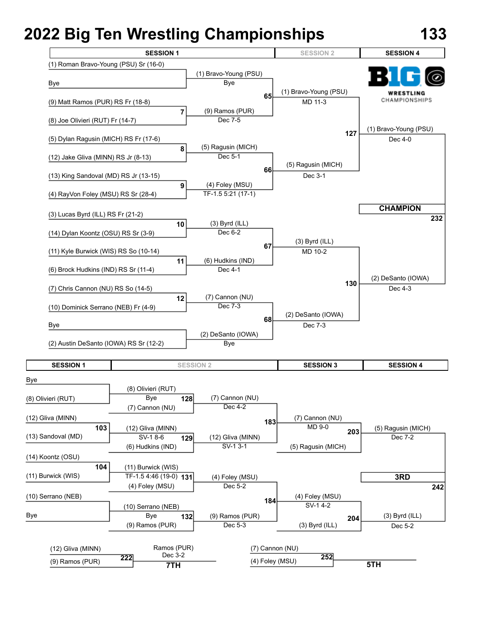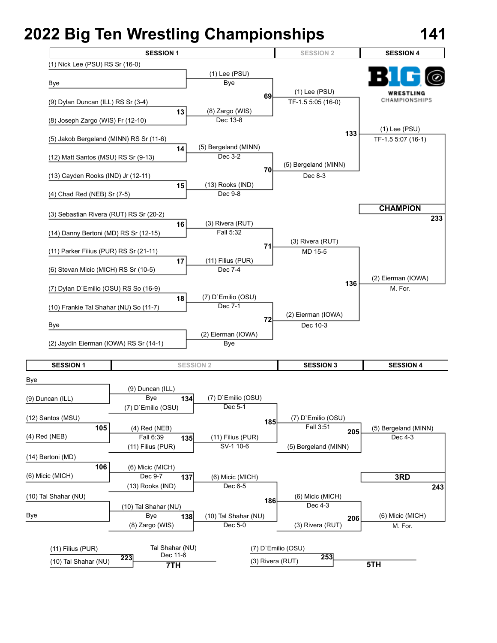

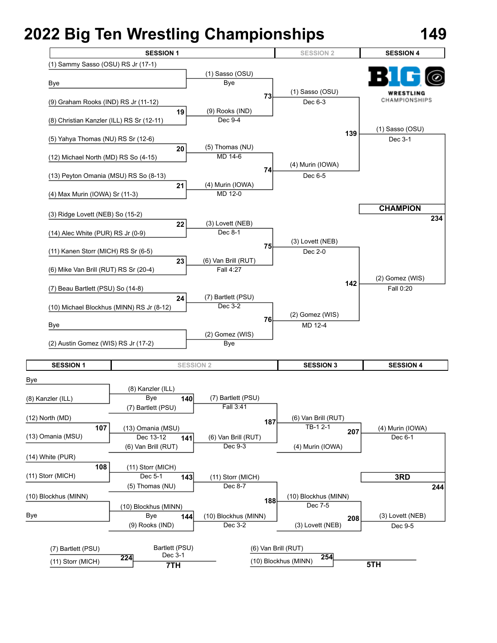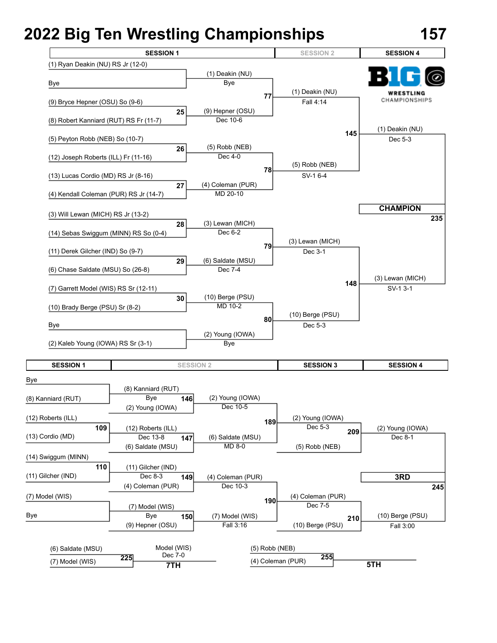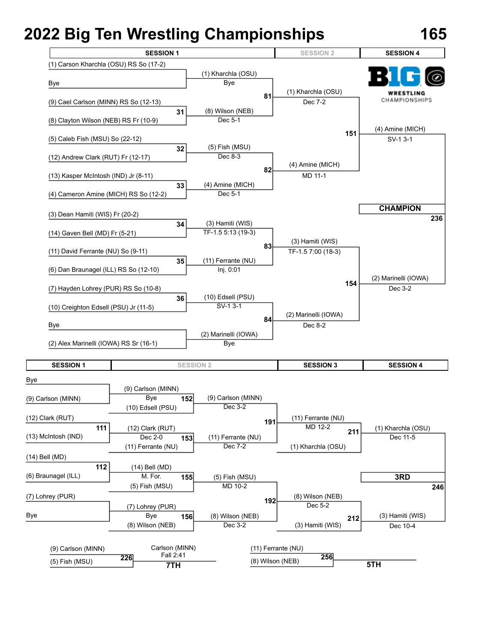

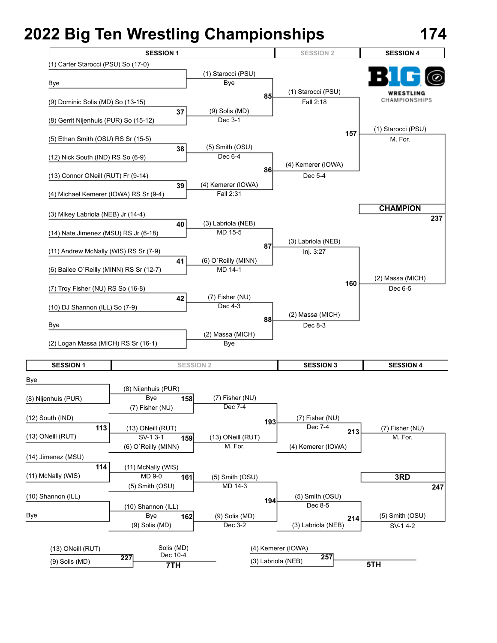

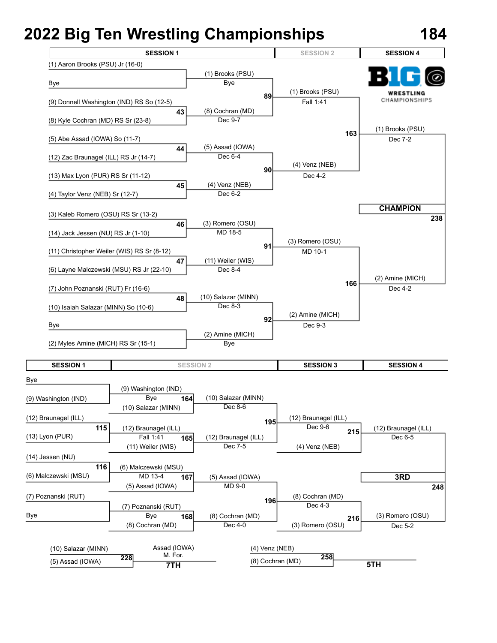

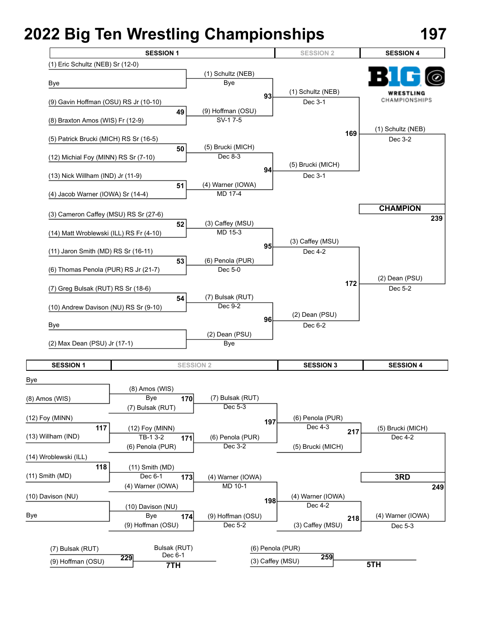**7TH**